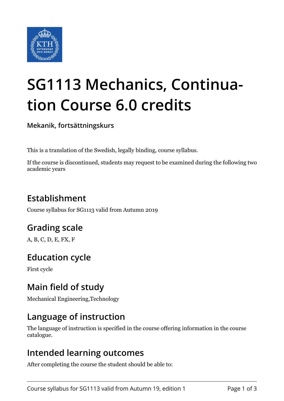

# **SG1113 Mechanics, Continuation Course 6.0 credits**

**Mekanik, fortsättningskurs**

This is a translation of the Swedish, legally binding, course syllabus.

If the course is discontinued, students may request to be examined during the following two academic years

# **Establishment**

Course syllabus for SG1113 valid from Autumn 2019

# **Grading scale**

A, B, C, D, E, FX, F

# **Education cycle**

First cycle

## **Main field of study**

Mechanical Engineering,Technology

## **Language of instruction**

The language of instruction is specified in the course offering information in the course catalogue.

#### **Intended learning outcomes**

After completing the course the student should be able to: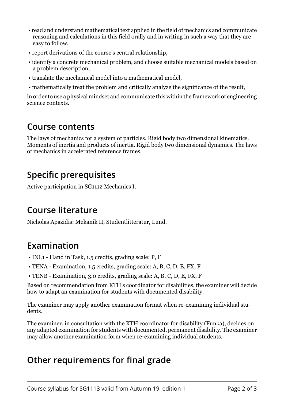- read and understand mathematical text applied in the field of mechanics and communicate reasoning and calculations in this field orally and in writing in such a way that they are easy to follow,
- report derivations of the course's central relationship,
- identify a concrete mechanical problem, and choose suitable mechanical models based on a problem description,
- translate the mechanical model into a mathematical model,
- mathematically treat the problem and critically analyze the significance of the result,

in order to use a physical mindset and communicate this within the framework of engineering science contexts.

#### **Course contents**

The laws of mechanics for a system of particles. Rigid body two dimensional kinematics. Moments of inertia and products of inertia. Rigid body two dimensional dynamics. The laws of mechanics in accelerated reference frames.

## **Specific prerequisites**

Active participation in SG1112 Mechanics I.

#### **Course literature**

Nicholas Apazidis: Mekanik II, Studentlitteratur, Lund.

## **Examination**

- INL1 Hand in Task, 1.5 credits, grading scale: P, F
- TENA Examination, 1.5 credits, grading scale: A, B, C, D, E, FX, F
- TENB Examination, 3.0 credits, grading scale: A, B, C, D, E, FX, F

Based on recommendation from KTH's coordinator for disabilities, the examiner will decide how to adapt an examination for students with documented disability.

The examiner may apply another examination format when re-examining individual students.

The examiner, in consultation with the KTH coordinator for disability (Funka), decides on any adapted examination for students with documented, permanent disability. The examiner may allow another examination form when re-examining individual students.

## **Other requirements for final grade**